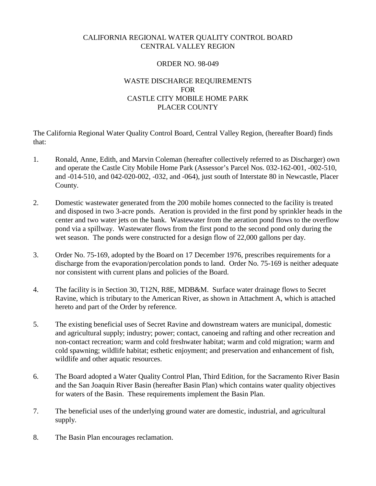# CALIFORNIA REGIONAL WATER QUALITY CONTROL BOARD CENTRAL VALLEY REGION

## ORDER NO. 98-049

# WASTE DISCHARGE REQUIREMENTS FOR CASTLE CITY MOBILE HOME PARK PLACER COUNTY

The California Regional Water Quality Control Board, Central Valley Region, (hereafter Board) finds that:

- 1. Ronald, Anne, Edith, and Marvin Coleman (hereafter collectively referred to as Discharger) own and operate the Castle City Mobile Home Park (Assessor's Parcel Nos. 032-162-001, -002-510, and -014-510, and 042-020-002, -032, and -064), just south of Interstate 80 in Newcastle, Placer County.
- 2. Domestic wastewater generated from the 200 mobile homes connected to the facility is treated and disposed in two 3-acre ponds. Aeration is provided in the first pond by sprinkler heads in the center and two water jets on the bank. Wastewater from the aeration pond flows to the overflow pond via a spillway. Wastewater flows from the first pond to the second pond only during the wet season. The ponds were constructed for a design flow of 22,000 gallons per day.
- 3. Order No. 75-169, adopted by the Board on 17 December 1976, prescribes requirements for a discharge from the evaporation/percolation ponds to land. Order No. 75-169 is neither adequate nor consistent with current plans and policies of the Board.
- 4. The facility is in Section 30, T12N, R8E, MDB&M. Surface water drainage flows to Secret Ravine, which is tributary to the American River, as shown in Attachment A, which is attached hereto and part of the Order by reference.
- 5. The existing beneficial uses of Secret Ravine and downstream waters are municipal, domestic and agricultural supply; industry; power; contact, canoeing and rafting and other recreation and non-contact recreation; warm and cold freshwater habitat; warm and cold migration; warm and cold spawning; wildlife habitat; esthetic enjoyment; and preservation and enhancement of fish, wildlife and other aquatic resources.
- 6. The Board adopted a Water Quality Control Plan, Third Edition, for the Sacramento River Basin and the San Joaquin River Basin (hereafter Basin Plan) which contains water quality objectives for waters of the Basin. These requirements implement the Basin Plan.
- 7. The beneficial uses of the underlying ground water are domestic, industrial, and agricultural supply.
- 8. The Basin Plan encourages reclamation.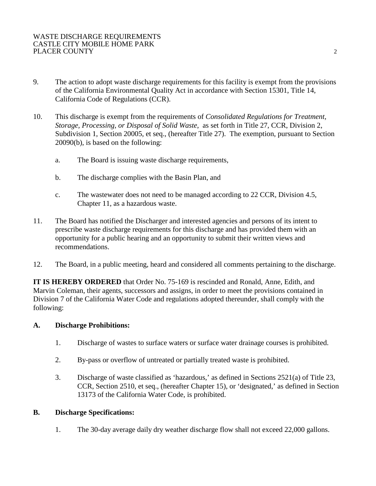- 9. The action to adopt waste discharge requirements for this facility is exempt from the provisions of the California Environmental Quality Act in accordance with Section 15301, Title 14, California Code of Regulations (CCR).
- 10. This discharge is exempt from the requirements of *Consolidated Regulations for Treatment, Storage, Processing, or Disposal of Solid Waste*, as set forth in Title 27, CCR, Division 2, Subdivision 1, Section 20005, et seq., (hereafter Title 27). The exemption, pursuant to Section 20090(b), is based on the following:
	- a. The Board is issuing waste discharge requirements,
	- b. The discharge complies with the Basin Plan, and
	- c. The wastewater does not need to be managed according to 22 CCR, Division 4.5, Chapter 11, as a hazardous waste.
- 11. The Board has notified the Discharger and interested agencies and persons of its intent to prescribe waste discharge requirements for this discharge and has provided them with an opportunity for a public hearing and an opportunity to submit their written views and recommendations.
- 12. The Board, in a public meeting, heard and considered all comments pertaining to the discharge.

**IT IS HEREBY ORDERED** that Order No. 75-169 is rescinded and Ronald, Anne, Edith, and Marvin Coleman, their agents, successors and assigns, in order to meet the provisions contained in Division 7 of the California Water Code and regulations adopted thereunder, shall comply with the following:

#### **A. Discharge Prohibitions:**

- 1. Discharge of wastes to surface waters or surface water drainage courses is prohibited.
- 2. By-pass or overflow of untreated or partially treated waste is prohibited.
- 3. Discharge of waste classified as 'hazardous,' as defined in Sections 2521(a) of Title 23, CCR, Section 2510, et seq., (hereafter Chapter 15), or 'designated,' as defined in Section 13173 of the California Water Code, is prohibited.

# **B. Discharge Specifications:**

1. The 30-day average daily dry weather discharge flow shall not exceed 22,000 gallons.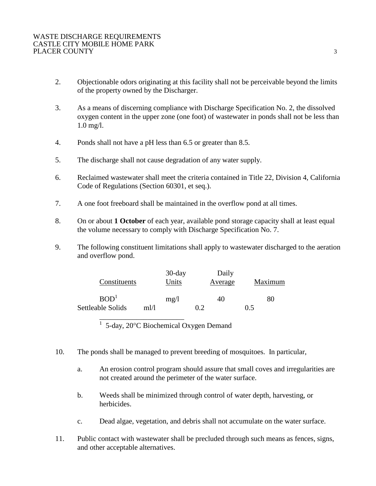- 2. Objectionable odors originating at this facility shall not be perceivable beyond the limits of the property owned by the Discharger.
- 3. As a means of discerning compliance with Discharge Specification No. 2, the dissolved oxygen content in the upper zone (one foot) of wastewater in ponds shall not be less than 1.0 mg/l.
- 4. Ponds shall not have a pH less than 6.5 or greater than 8.5.
- 5. The discharge shall not cause degradation of any water supply.
- 6. Reclaimed wastewater shall meet the criteria contained in Title 22, Division 4, California Code of Regulations (Section 60301, et seq.).
- 7. A one foot freeboard shall be maintained in the overflow pond at all times.
- 8. On or about **1 October** of each year, available pond storage capacity shall at least equal the volume necessary to comply with Discharge Specification No. 7.
- 9. The following constituent limitations shall apply to wastewater discharged to the aeration and overflow pond.

| Constituents      |      | $30$ -day<br>Units | Daily<br>Average | Maximum |
|-------------------|------|--------------------|------------------|---------|
| BOD <sup>1</sup>  |      | mg/l               | 40               | 80      |
| Settleable Solids | m1/1 |                    | በ 2              | 0.5     |

<sup>1</sup> 5-day, 20°C Biochemical Oxygen Demand

\_\_\_\_\_\_\_\_\_\_\_\_\_\_\_\_\_\_\_\_\_\_\_

- 10. The ponds shall be managed to prevent breeding of mosquitoes. In particular,
	- a. An erosion control program should assure that small coves and irregularities are not created around the perimeter of the water surface.
	- b. Weeds shall be minimized through control of water depth, harvesting, or herbicides.
	- c. Dead algae, vegetation, and debris shall not accumulate on the water surface.
- 11. Public contact with wastewater shall be precluded through such means as fences, signs, and other acceptable alternatives.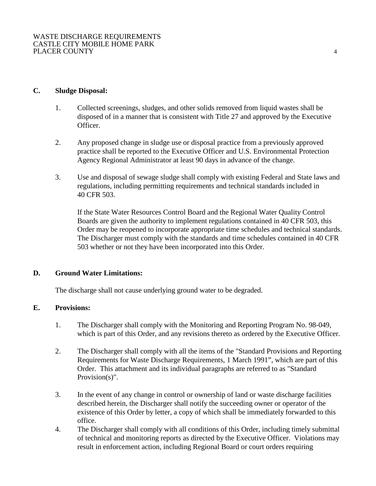#### **C. Sludge Disposal:**

- 1. Collected screenings, sludges, and other solids removed from liquid wastes shall be disposed of in a manner that is consistent with Title 27 and approved by the Executive Officer.
- 2. Any proposed change in sludge use or disposal practice from a previously approved practice shall be reported to the Executive Officer and U.S. Environmental Protection Agency Regional Administrator at least 90 days in advance of the change.
- 3. Use and disposal of sewage sludge shall comply with existing Federal and State laws and regulations, including permitting requirements and technical standards included in 40 CFR 503.

If the State Water Resources Control Board and the Regional Water Quality Control Boards are given the authority to implement regulations contained in 40 CFR 503, this Order may be reopened to incorporate appropriate time schedules and technical standards. The Discharger must comply with the standards and time schedules contained in 40 CFR 503 whether or not they have been incorporated into this Order.

#### **D. Ground Water Limitations:**

The discharge shall not cause underlying ground water to be degraded.

# **E. Provisions:**

- 1. The Discharger shall comply with the Monitoring and Reporting Program No. 98-049, which is part of this Order, and any revisions thereto as ordered by the Executive Officer.
- 2. The Discharger shall comply with all the items of the "Standard Provisions and Reporting Requirements for Waste Discharge Requirements, 1 March 1991", which are part of this Order. This attachment and its individual paragraphs are referred to as "Standard Provision(s)".
- 3. In the event of any change in control or ownership of land or waste discharge facilities described herein, the Discharger shall notify the succeeding owner or operator of the existence of this Order by letter, a copy of which shall be immediately forwarded to this office.
- 4. The Discharger shall comply with all conditions of this Order, including timely submittal of technical and monitoring reports as directed by the Executive Officer. Violations may result in enforcement action, including Regional Board or court orders requiring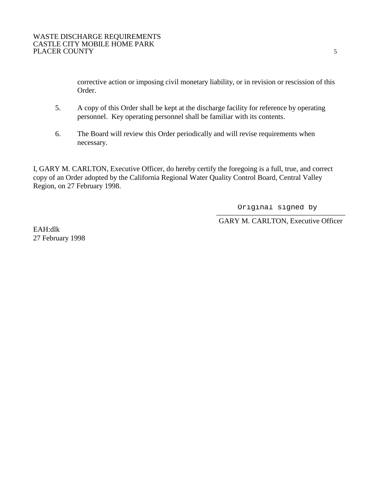corrective action or imposing civil monetary liability, or in revision or rescission of this Order.

- 5. A copy of this Order shall be kept at the discharge facility for reference by operating personnel. Key operating personnel shall be familiar with its contents.
- 6. The Board will review this Order periodically and will revise requirements when necessary.

I, GARY M. CARLTON, Executive Officer, do hereby certify the foregoing is a full, true, and correct copy of an Order adopted by the California Regional Water Quality Control Board, Central Valley Region, on 27 February 1998.

> $\frac{1}{2}$   $\frac{1}{2}$   $\frac{1}{2}$   $\frac{1}{2}$   $\frac{1}{2}$   $\frac{1}{2}$   $\frac{1}{2}$   $\frac{1}{2}$   $\frac{1}{2}$   $\frac{1}{2}$   $\frac{1}{2}$   $\frac{1}{2}$   $\frac{1}{2}$   $\frac{1}{2}$   $\frac{1}{2}$   $\frac{1}{2}$   $\frac{1}{2}$   $\frac{1}{2}$   $\frac{1}{2}$   $\frac{1}{2}$   $\frac{1}{2}$   $\frac{1}{2}$  Original signed by

> GARY M. CARLTON, Executive Officer

EAH:dlk 27 February 1998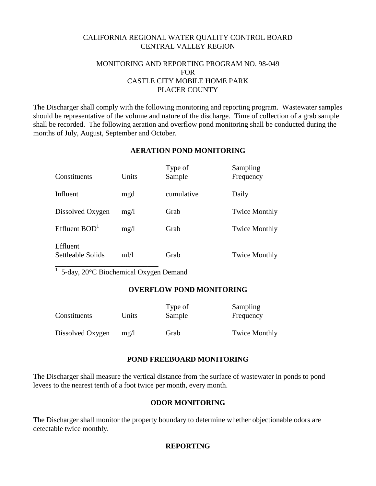## CALIFORNIA REGIONAL WATER QUALITY CONTROL BOARD CENTRAL VALLEY REGION

## MONITORING AND REPORTING PROGRAM NO. 98-049 FOR CASTLE CITY MOBILE HOME PARK PLACER COUNTY

The Discharger shall comply with the following monitoring and reporting program. Wastewater samples should be representative of the volume and nature of the discharge. Time of collection of a grab sample shall be recorded. The following aeration and overflow pond monitoring shall be conducted during the months of July, August, September and October.

## **AERATION POND MONITORING**

| Constituents                  | Units | Type of<br>Sample | Sampling<br>Frequency |
|-------------------------------|-------|-------------------|-----------------------|
| Influent                      | mgd   | cumulative        | Daily                 |
| Dissolved Oxygen              | mg/1  | Grab              | <b>Twice Monthly</b>  |
| Effluent $BOD1$               | mg/1  | Grab              | <b>Twice Monthly</b>  |
| Effluent<br>Settleable Solids | ml/l  | Grab              | <b>Twice Monthly</b>  |

<sup>1</sup> 5-day, 20°C Biochemical Oxygen Demand

# **OVERFLOW POND MONITORING**

| Constituents     | Units | Type of<br>Sample | Sampling<br>Frequency |
|------------------|-------|-------------------|-----------------------|
| Dissolved Oxygen | mp/l  | Grab              | <b>Twice Monthly</b>  |

# **POND FREEBOARD MONITORING**

The Discharger shall measure the vertical distance from the surface of wastewater in ponds to pond levees to the nearest tenth of a foot twice per month, every month.

# **ODOR MONITORING**

The Discharger shall monitor the property boundary to determine whether objectionable odors are detectable twice monthly.

# **REPORTING**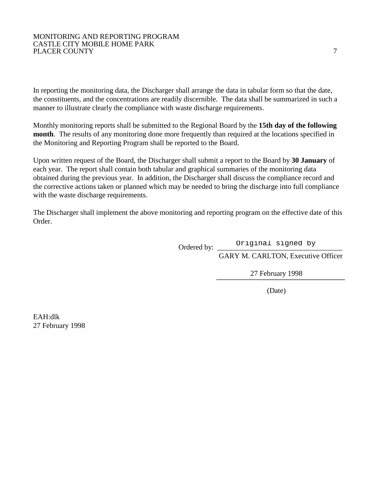#### MONITORING AND REPORTING PROGRAM CASTLE CITY MOBILE HOME PARK PLACER COUNTY 7

In reporting the monitoring data, the Discharger shall arrange the data in tabular form so that the date, the constituents, and the concentrations are readily discernible. The data shall be summarized in such a manner to illustrate clearly the compliance with waste discharge requirements.

Monthly monitoring reports shall be submitted to the Regional Board by the **15th day of the following month**. The results of any monitoring done more frequently than required at the locations specified in the Monitoring and Reporting Program shall be reported to the Board.

Upon written request of the Board, the Discharger shall submit a report to the Board by **30 January** of each year. The report shall contain both tabular and graphical summaries of the monitoring data obtained during the previous year. In addition, the Discharger shall discuss the compliance record and the corrective actions taken or planned which may be needed to bring the discharge into full compliance with the waste discharge requirements.

The Discharger shall implement the above monitoring and reporting program on the effective date of this Order.

Ordered by: <u>Original signed by</u>

GARY M. CARLTON, Executive Officer

27 February 1998

(Date)

EAH:dlk 27 February 1998